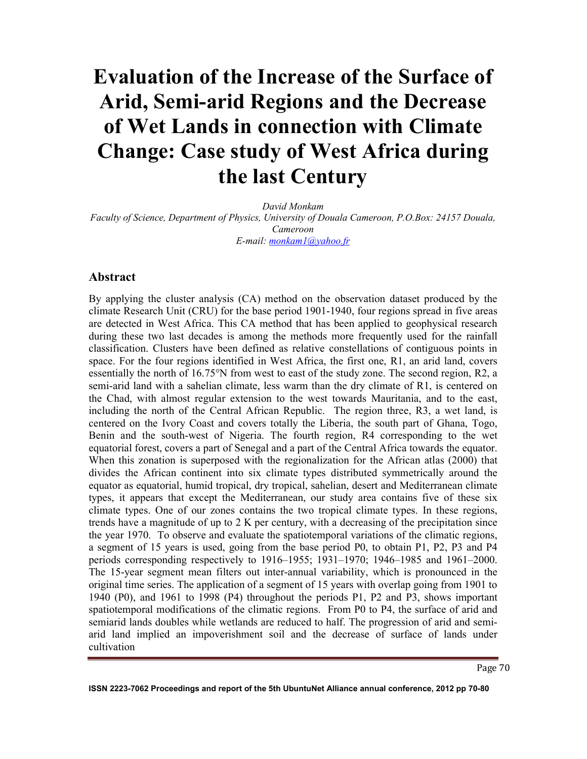# **Evaluation of the Increase of the Surface of Arid, Semi-arid Regions and the Decrease of Wet Lands in connection with Climate Change: Case study of West Africa during the last Century**

*David Monkam Faculty of Science, Department of Physics, University of Douala Cameroon, P.O.Box: 24157 Douala, Cameroon E-mail: monkam1@yahoo.fr*

## **Abstract**

By applying the cluster analysis (CA) method on the observation dataset produced by the climate Research Unit (CRU) for the base period 1901-1940, four regions spread in five areas are detected in West Africa. This CA method that has been applied to geophysical research during these two last decades is among the methods more frequently used for the rainfall classification. Clusters have been defined as relative constellations of contiguous points in space. For the four regions identified in West Africa, the first one, R1, an arid land, covers essentially the north of 16.75°N from west to east of the study zone. The second region, R2, a semi-arid land with a sahelian climate, less warm than the dry climate of R1, is centered on the Chad, with almost regular extension to the west towards Mauritania, and to the east, including the north of the Central African Republic. The region three, R3, a wet land, is centered on the Ivory Coast and covers totally the Liberia, the south part of Ghana, Togo, Benin and the south-west of Nigeria. The fourth region, R4 corresponding to the wet equatorial forest, covers a part of Senegal and a part of the Central Africa towards the equator. When this zonation is superposed with the regionalization for the African atlas (2000) that divides the African continent into six climate types distributed symmetrically around the equator as equatorial, humid tropical, dry tropical, sahelian, desert and Mediterranean climate types, it appears that except the Mediterranean, our study area contains five of these six climate types. One of our zones contains the two tropical climate types. In these regions, trends have a magnitude of up to 2 K per century, with a decreasing of the precipitation since the year 1970. To observe and evaluate the spatiotemporal variations of the climatic regions, a segment of 15 years is used, going from the base period P0, to obtain P1, P2, P3 and P4 periods corresponding respectively to 1916–1955; 1931–1970; 1946–1985 and 1961–2000. The 15-year segment mean filters out inter-annual variability, which is pronounced in the original time series. The application of a segment of 15 years with overlap going from 1901 to 1940 (P0), and 1961 to 1998 (P4) throughout the periods P1, P2 and P3, shows important spatiotemporal modifications of the climatic regions. From P0 to P4, the surface of arid and semiarid lands doubles while wetlands are reduced to half. The progression of arid and semiarid land implied an impoverishment soil and the decrease of surface of lands under cultivation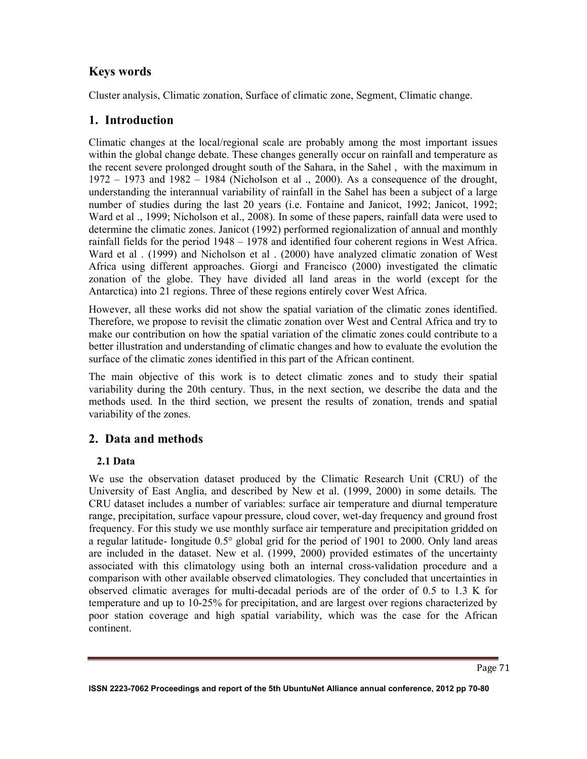## **Keys words**

Cluster analysis, Climatic zonation, Surface of climatic zone, Segment, Climatic change.

# **1. Introduction**

Climatic changes at the local/regional scale are probably among the most important issues within the global change debate. These changes generally occur on rainfall and temperature as the recent severe prolonged drought south of the Sahara, in the Sahel , with the maximum in 1972 – 1973 and 1982 – 1984 (Nicholson et al ., 2000). As a consequence of the drought, understanding the interannual variability of rainfall in the Sahel has been a subject of a large number of studies during the last 20 years (i.e. Fontaine and Janicot, 1992; Janicot, 1992; Ward et al ., 1999; Nicholson et al., 2008). In some of these papers, rainfall data were used to determine the climatic zones. Janicot (1992) performed regionalization of annual and monthly rainfall fields for the period 1948 – 1978 and identified four coherent regions in West Africa. Ward et al . (1999) and Nicholson et al . (2000) have analyzed climatic zonation of West Africa using different approaches. Giorgi and Francisco (2000) investigated the climatic zonation of the globe. They have divided all land areas in the world (except for the Antarctica) into 21 regions. Three of these regions entirely cover West Africa.

However, all these works did not show the spatial variation of the climatic zones identified. Therefore, we propose to revisit the climatic zonation over West and Central Africa and try to make our contribution on how the spatial variation of the climatic zones could contribute to a better illustration and understanding of climatic changes and how to evaluate the evolution the surface of the climatic zones identified in this part of the African continent.

The main objective of this work is to detect climatic zones and to study their spatial variability during the 20th century. Thus, in the next section, we describe the data and the methods used. In the third section, we present the results of zonation, trends and spatial variability of the zones.

# **2. Data and methods**

## **2.1 Data**

We use the observation dataset produced by the Climatic Research Unit (CRU) of the University of East Anglia, and described by New et al. (1999, 2000) in some details. The CRU dataset includes a number of variables: surface air temperature and diurnal temperature range, precipitation, surface vapour pressure, cloud cover, wet-day frequency and ground frost frequency. For this study we use monthly surface air temperature and precipitation gridded on a regular latitude- longitude 0.5° global grid for the period of 1901 to 2000. Only land areas are included in the dataset. New et al. (1999, 2000) provided estimates of the uncertainty associated with this climatology using both an internal cross-validation procedure and a comparison with other available observed climatologies. They concluded that uncertainties in observed climatic averages for multi-decadal periods are of the order of 0.5 to 1.3 K for temperature and up to 10-25% for precipitation, and are largest over regions characterized by poor station coverage and high spatial variability, which was the case for the African continent.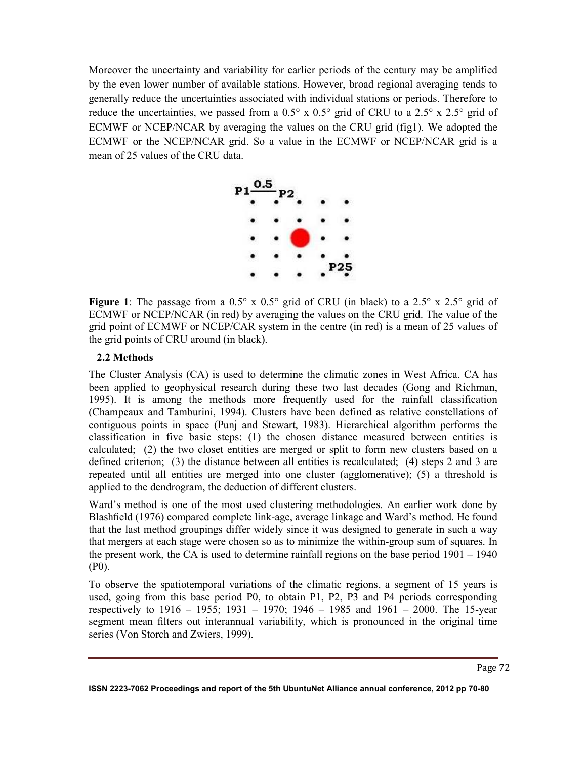Moreover the uncertainty and variability for earlier periods of the century may be amplified by the even lower number of available stations. However, broad regional averaging tends to generally reduce the uncertainties associated with individual stations or periods. Therefore to reduce the uncertainties, we passed from a  $0.5^{\circ}$  x  $0.5^{\circ}$  grid of CRU to a  $2.5^{\circ}$  x  $2.5^{\circ}$  grid of ECMWF or NCEP/NCAR by averaging the values on the CRU grid (fig1). We adopted the ECMWF or the NCEP/NCAR grid. So a value in the ECMWF or NCEP/NCAR grid is a mean of 25 values of the CRU data.



**Figure 1**: The passage from a  $0.5^\circ \times 0.5^\circ$  grid of CRU (in black) to a  $2.5^\circ \times 2.5^\circ$  grid of ECMWF or NCEP/NCAR (in red) by averaging the values on the CRU grid. The value of the grid point of ECMWF or NCEP/CAR system in the centre (in red) is a mean of 25 values of the grid points of CRU around (in black).

## **2.2 Methods**

The Cluster Analysis (CA) is used to determine the climatic zones in West Africa. CA has been applied to geophysical research during these two last decades (Gong and Richman, 1995). It is among the methods more frequently used for the rainfall classification (Champeaux and Tamburini, 1994). Clusters have been defined as relative constellations of contiguous points in space (Punj and Stewart, 1983). Hierarchical algorithm performs the classification in five basic steps: (1) the chosen distance measured between entities is calculated; (2) the two closet entities are merged or split to form new clusters based on a defined criterion; (3) the distance between all entities is recalculated; (4) steps 2 and 3 are repeated until all entities are merged into one cluster (agglomerative); (5) a threshold is applied to the dendrogram, the deduction of different clusters.

Ward's method is one of the most used clustering methodologies. An earlier work done by Blashfield (1976) compared complete link-age, average linkage and Ward's method. He found that the last method groupings differ widely since it was designed to generate in such a way that mergers at each stage were chosen so as to minimize the within-group sum of squares. In the present work, the CA is used to determine rainfall regions on the base period 1901 – 1940 (P0).

To observe the spatiotemporal variations of the climatic regions, a segment of 15 years is used, going from this base period P0, to obtain P1, P2, P3 and P4 periods corresponding respectively to 1916 – 1955; 1931 – 1970; 1946 – 1985 and 1961 – 2000. The 15-year segment mean filters out interannual variability, which is pronounced in the original time series (Von Storch and Zwiers, 1999).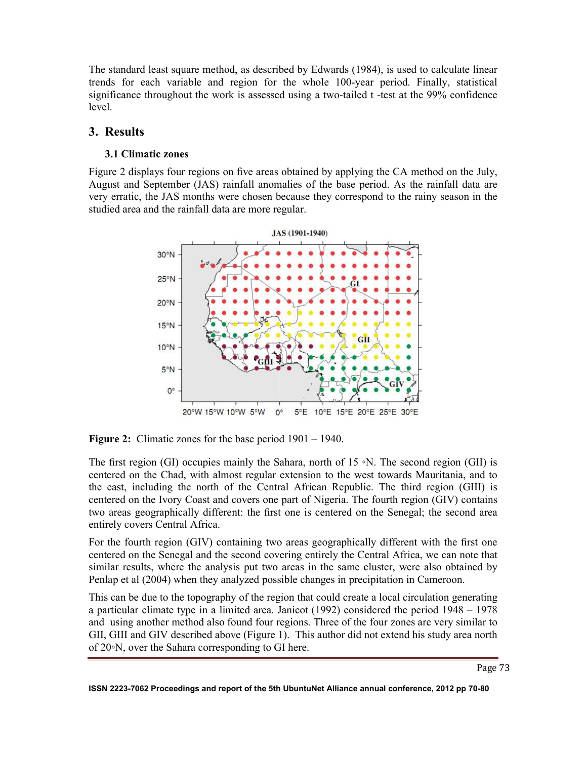The standard least square method, as described by Edwards (1984), is used to calculate linear trends for each variable and region for the whole 100-year period. Finally, statistical significance throughout the work is assessed using a two-tailed t -test at the 99% confidence level.

## **3. Results**

## **3.1 Climatic zones**

Figure 2 displays four regions on five areas obtained by applying the CA method on the July, August and September (JAS) rainfall anomalies of the base period. As the rainfall data are very erratic, the JAS months were chosen because they correspond to the rainy season in the studied area and the rainfall data are more regular.



**Figure 2:** Climatic zones for the base period 1901 – 1940.

The first region (GI) occupies mainly the Sahara, north of 15 ∘N. The second region (GII) is centered on the Chad, with almost regular extension to the west towards Mauritania, and to the east, including the north of the Central African Republic. The third region (GIII) is centered on the Ivory Coast and covers one part of Nigeria. The fourth region (GIV) contains two areas geographically different: the first one is centered on the Senegal; the second area entirely covers Central Africa.

For the fourth region (GIV) containing two areas geographically different with the first one centered on the Senegal and the second covering entirely the Central Africa, we can note that similar results, where the analysis put two areas in the same cluster, were also obtained by Penlap et al (2004) when they analyzed possible changes in precipitation in Cameroon.

This can be due to the topography of the region that could create a local circulation generating a particular climate type in a limited area. Janicot (1992) considered the period 1948 – 1978 and using another method also found four regions. Three of the four zones are very similar to GII, GIII and GIV described above (Figure 1). This author did not extend his study area north of 20◦N, over the Sahara corresponding to GI here.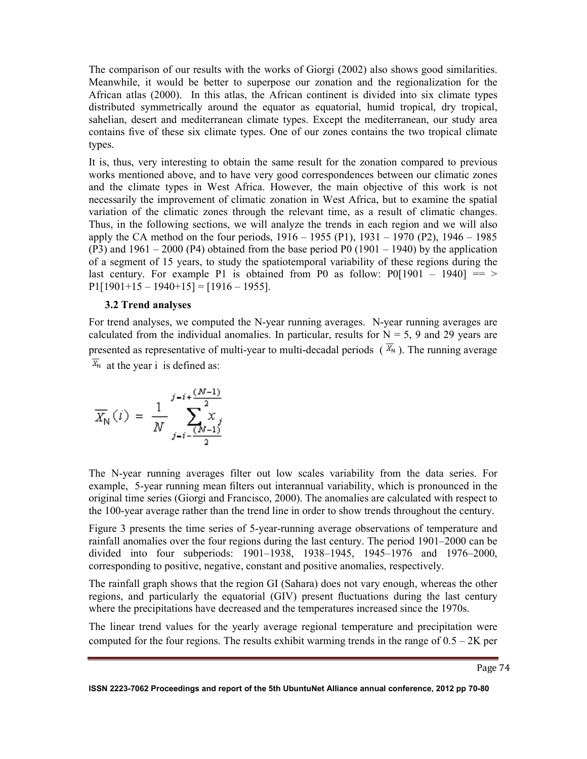The comparison of our results with the works of Giorgi (2002) also shows good similarities. Meanwhile, it would be better to superpose our zonation and the regionalization for the African atlas (2000). In this atlas, the African continent is divided into six climate types distributed symmetrically around the equator as equatorial, humid tropical, dry tropical, sahelian, desert and mediterranean climate types. Except the mediterranean, our study area contains five of these six climate types. One of our zones contains the two tropical climate types.

It is, thus, very interesting to obtain the same result for the zonation compared to previous works mentioned above, and to have very good correspondences between our climatic zones and the climate types in West Africa. However, the main objective of this work is not necessarily the improvement of climatic zonation in West Africa, but to examine the spatial variation of the climatic zones through the relevant time, as a result of climatic changes. Thus, in the following sections, we will analyze the trends in each region and we will also apply the CA method on the four periods, 1916 – 1955 (P1), 1931 – 1970 (P2), 1946 – 1985  $(P3)$  and  $1961 - 2000 (P4)$  obtained from the base period P0  $(1901 - 1940)$  by the application of a segment of 15 years, to study the spatiotemporal variability of these regions during the last century. For example P1 is obtained from P0 as follow:  $P0[1901 - 1940] == \ge$  $P1[1901+15-1940+15] = [1916-1955].$ 

#### **3.2 Trend analyses**

For trend analyses, we computed the N-year running averages. N-year running averages are calculated from the individual anomalies. In particular, results for  $N = 5$ , 9 and 29 years are presented as representative of multi-year to multi-decadal periods ( $\overline{X_N}$ ). The running average  $\overline{X}_{N}$  at the year i is defined as:

$$
\overline{X_{N}}(i) = \frac{1}{N} \sum_{j=i-\frac{(N-1)}{2}}^{j-i+\frac{(N-1)}{2}} x_{j}
$$

The N-year running averages filter out low scales variability from the data series. For example, 5-year running mean filters out interannual variability, which is pronounced in the original time series (Giorgi and Francisco, 2000). The anomalies are calculated with respect to the 100-year average rather than the trend line in order to show trends throughout the century.

Figure 3 presents the time series of 5-year-running average observations of temperature and rainfall anomalies over the four regions during the last century. The period 1901–2000 can be divided into four subperiods: 1901–1938, 1938–1945, 1945–1976 and 1976–2000, corresponding to positive, negative, constant and positive anomalies, respectively.

The rainfall graph shows that the region GI (Sahara) does not vary enough, whereas the other regions, and particularly the equatorial (GIV) present fluctuations during the last century where the precipitations have decreased and the temperatures increased since the 1970s.

The linear trend values for the yearly average regional temperature and precipitation were computed for the four regions. The results exhibit warming trends in the range of  $0.5 - 2K$  per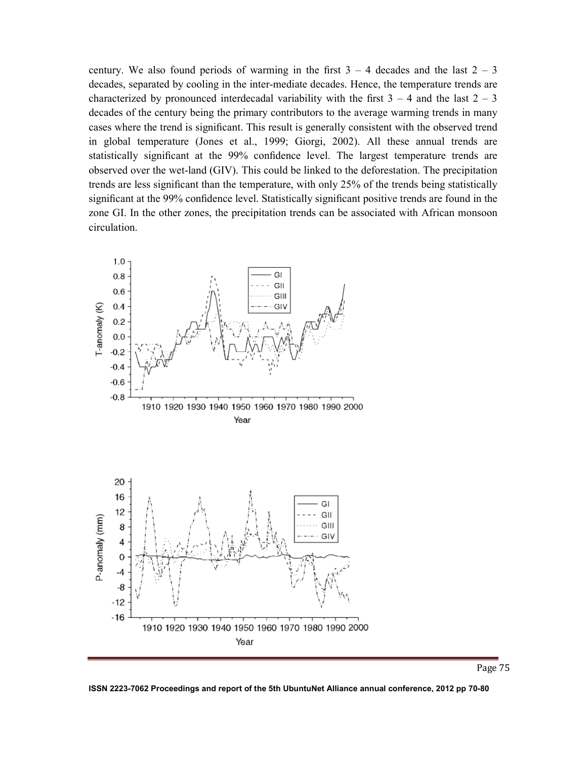century. We also found periods of warming in the first  $3 - 4$  decades and the last  $2 - 3$ decades, separated by cooling in the inter-mediate decades. Hence, the temperature trends are characterized by pronounced interdecadal variability with the first  $3 - 4$  and the last  $2 - 3$ decades of the century being the primary contributors to the average warming trends in many cases where the trend is significant. This result is generally consistent with the observed trend in global temperature (Jones et al., 1999; Giorgi, 2002). All these annual trends are statistically significant at the 99% confidence level. The largest temperature trends are observed over the wet-land (GIV). This could be linked to the deforestation. The precipitation trends are less significant than the temperature, with only 25% of the trends being statistically significant at the 99% confidence level. Statistically significant positive trends are found in the zone GI. In the other zones, the precipitation trends can be associated with African monsoon circulation.



**ISSN 2223-7062 Proceedings and report of the 5th UbuntuNet Alliance annual conference, 2012 pp 70-80**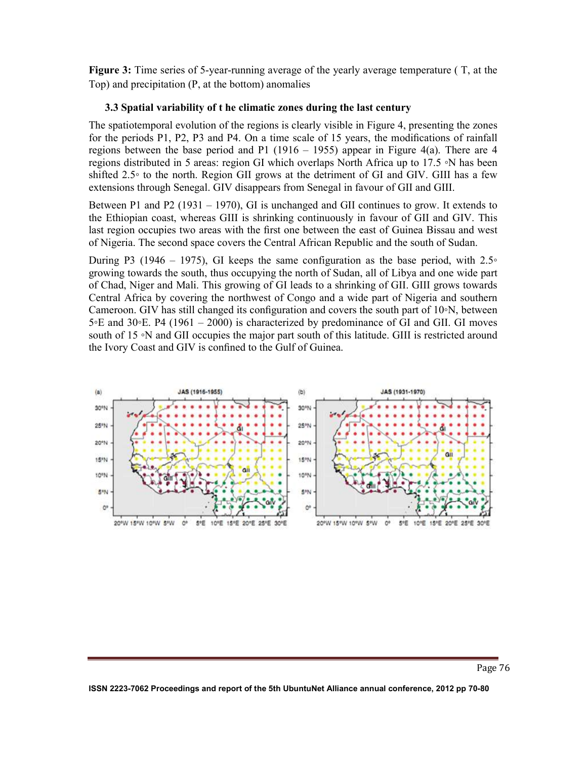**Figure 3:** Time series of 5-year-running average of the yearly average temperature ( T, at the Top) and precipitation (P, at the bottom) anomalies

## **3.3 Spatial variability of t he climatic zones during the last century**

The spatiotemporal evolution of the regions is clearly visible in Figure 4, presenting the zones for the periods P1, P2, P3 and P4. On a time scale of 15 years, the modifications of rainfall regions between the base period and P1 (1916 – 1955) appear in Figure 4(a). There are 4 regions distributed in 5 areas: region GI which overlaps North Africa up to 17.5 ◦N has been shifted 2.5◦ to the north. Region GII grows at the detriment of GI and GIV. GIII has a few extensions through Senegal. GIV disappears from Senegal in favour of GII and GIII.

Between P1 and P2 (1931 – 1970), GI is unchanged and GII continues to grow. It extends to the Ethiopian coast, whereas GIII is shrinking continuously in favour of GII and GIV. This last region occupies two areas with the first one between the east of Guinea Bissau and west of Nigeria. The second space covers the Central African Republic and the south of Sudan.

During P3 (1946 – 1975), GI keeps the same configuration as the base period, with  $2.5\degree$ growing towards the south, thus occupying the north of Sudan, all of Libya and one wide part of Chad, Niger and Mali. This growing of GI leads to a shrinking of GII. GIII grows towards Central Africa by covering the northwest of Congo and a wide part of Nigeria and southern Cameroon. GIV has still changed its configuration and covers the south part of 10◦N, between 5◦E and 30◦E. P4 (1961 – 2000) is characterized by predominance of GI and GII. GI moves south of 15 ∘N and GII occupies the major part south of this latitude. GIII is restricted around the Ivory Coast and GIV is confined to the Gulf of Guinea.



**ISSN 2223-7062 Proceedings and report of the 5th UbuntuNet Alliance annual conference, 2012 pp 70-80**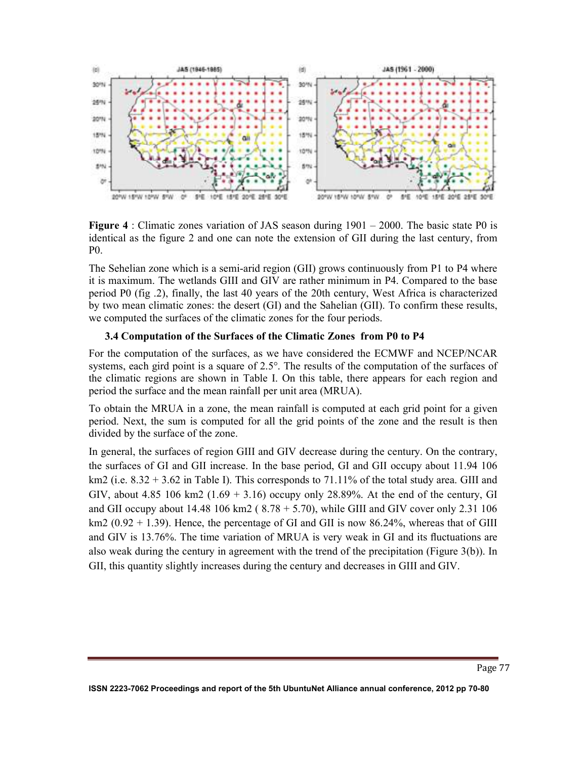

**Figure 4** : Climatic zones variation of JAS season during 1901 – 2000. The basic state P0 is identical as the figure 2 and one can note the extension of GII during the last century, from P0.

The Sehelian zone which is a semi-arid region (GII) grows continuously from P1 to P4 where it is maximum. The wetlands GIII and GIV are rather minimum in P4. Compared to the base period P0 (fig .2), finally, the last 40 years of the 20th century, West Africa is characterized by two mean climatic zones: the desert (GI) and the Sahelian (GII). To confirm these results, we computed the surfaces of the climatic zones for the four periods.

## **3.4 Computation of the Surfaces of the Climatic Zones from P0 to P4**

For the computation of the surfaces, as we have considered the ECMWF and NCEP/NCAR systems, each gird point is a square of 2.5°. The results of the computation of the surfaces of the climatic regions are shown in Table I. On this table, there appears for each region and period the surface and the mean rainfall per unit area (MRUA).

To obtain the MRUA in a zone, the mean rainfall is computed at each grid point for a given period. Next, the sum is computed for all the grid points of the zone and the result is then divided by the surface of the zone.

In general, the surfaces of region GIII and GIV decrease during the century. On the contrary, the surfaces of GI and GII increase. In the base period, GI and GII occupy about 11.94 106 km2 (i.e.  $8.32 + 3.62$  in Table I). This corresponds to 71.11% of the total study area. GIII and GIV, about 4.85 106 km2  $(1.69 + 3.16)$  occupy only 28.89%. At the end of the century, GI and GII occupy about 14.48 106 km2 ( $8.78 + 5.70$ ), while GIII and GIV cover only 2.31 106 km2 ( $0.92 + 1.39$ ). Hence, the percentage of GI and GII is now 86.24%, whereas that of GIII and GIV is 13.76%. The time variation of MRUA is very weak in GI and its fluctuations are also weak during the century in agreement with the trend of the precipitation (Figure 3(b)). In GII, this quantity slightly increases during the century and decreases in GIII and GIV.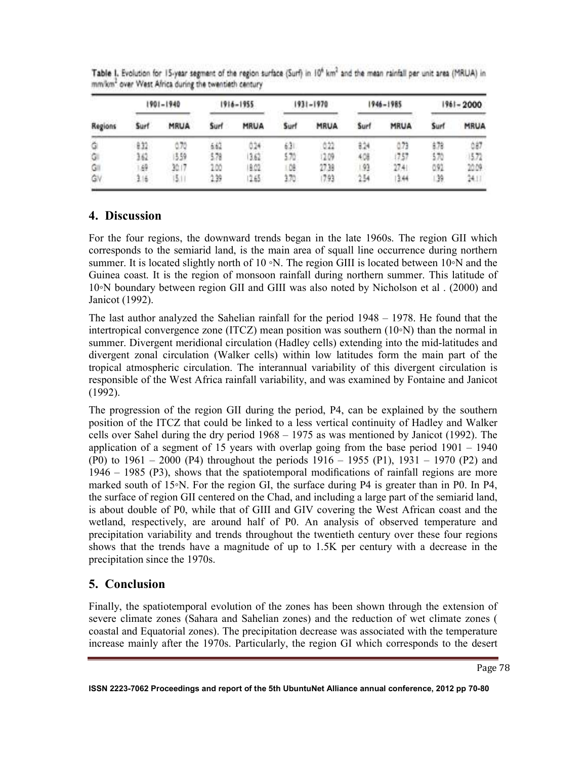| Regions | 1901-1940 |             | 1916-1955 |       | 1931-1970 |             | 1946-1985 |             | 1961-2000 |             |
|---------|-----------|-------------|-----------|-------|-----------|-------------|-----------|-------------|-----------|-------------|
|         | Surf.     | <b>MRUA</b> | Surf      | MRUA  | Surf      | <b>MRUA</b> | Surf      | <b>MRUA</b> | Surf      | <b>MRUA</b> |
| Ğ       | ê X2      | 6.70        | 6.62      | 024   | 63.       | 0.22        | 324       | 073         | 478       | 087         |
| G.      | 162.      | (559)       | 578       | 162   | 570       | 109         | 408       | 757         | 570       | 15.72       |
| G.      | 49        | 30.1        | 100       | 18.02 | 驡         | 27.39       | 91        | 2741        | 091       | 2009        |
| Ġγ      | 316       | 5.          | $-2.39$   | 2.65  | 170       | 793         | 254       | 344         | 39.       | 2411        |

Table I. Evolution for 15-year segment of the region surface (Surf) in 10<sup>6</sup> km<sup>2</sup> and the mean rainfall per unit area (MRUA) in mm/km2 over West Africa during the twentieth century

## **4. Discussion**

For the four regions, the downward trends began in the late 1960s. The region GII which corresponds to the semiarid land, is the main area of squall line occurrence during northern summer. It is located slightly north of 10 ∘N. The region GIII is located between 10∘N and the Guinea coast. It is the region of monsoon rainfall during northern summer. This latitude of 10◦N boundary between region GII and GIII was also noted by Nicholson et al . (2000) and Janicot (1992).

The last author analyzed the Sahelian rainfall for the period 1948 – 1978. He found that the intertropical convergence zone (ITCZ) mean position was southern (10◦N) than the normal in summer. Divergent meridional circulation (Hadley cells) extending into the mid-latitudes and divergent zonal circulation (Walker cells) within low latitudes form the main part of the tropical atmospheric circulation. The interannual variability of this divergent circulation is responsible of the West Africa rainfall variability, and was examined by Fontaine and Janicot (1992).

The progression of the region GII during the period, P4, can be explained by the southern position of the ITCZ that could be linked to a less vertical continuity of Hadley and Walker cells over Sahel during the dry period 1968 – 1975 as was mentioned by Janicot (1992). The application of a segment of 15 years with overlap going from the base period 1901 – 1940 (P0) to 1961 – 2000 (P4) throughout the periods 1916 – 1955 (P1), 1931 – 1970 (P2) and 1946 – 1985 (P3), shows that the spatiotemporal modifications of rainfall regions are more marked south of 15◦N. For the region GI, the surface during P4 is greater than in P0. In P4, the surface of region GII centered on the Chad, and including a large part of the semiarid land, is about double of P0, while that of GIII and GIV covering the West African coast and the wetland, respectively, are around half of P0. An analysis of observed temperature and precipitation variability and trends throughout the twentieth century over these four regions shows that the trends have a magnitude of up to 1.5K per century with a decrease in the precipitation since the 1970s.

# **5. Conclusion**

Finally, the spatiotemporal evolution of the zones has been shown through the extension of severe climate zones (Sahara and Sahelian zones) and the reduction of wet climate zones ( coastal and Equatorial zones). The precipitation decrease was associated with the temperature increase mainly after the 1970s. Particularly, the region GI which corresponds to the desert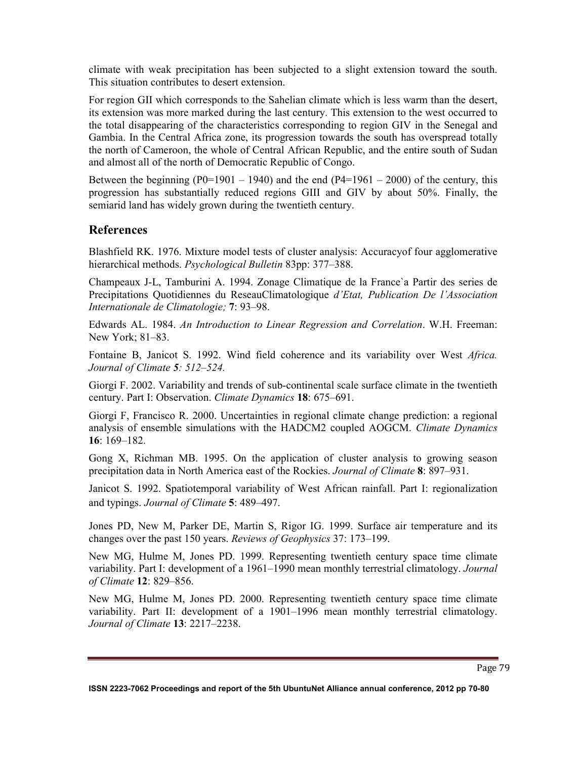climate with weak precipitation has been subjected to a slight extension toward the south. This situation contributes to desert extension.

For region GII which corresponds to the Sahelian climate which is less warm than the desert, its extension was more marked during the last century. This extension to the west occurred to the total disappearing of the characteristics corresponding to region GIV in the Senegal and Gambia. In the Central Africa zone, its progression towards the south has overspread totally the north of Cameroon, the whole of Central African Republic, and the entire south of Sudan and almost all of the north of Democratic Republic of Congo.

Between the beginning (P0=1901 – 1940) and the end (P4=1961 – 2000) of the century, this progression has substantially reduced regions GIII and GIV by about 50%. Finally, the semiarid land has widely grown during the twentieth century.

## **References**

Blashfield RK. 1976. Mixture model tests of cluster analysis: Accuracyof four agglomerative hierarchical methods. *Psychological Bulletin* 83pp: 377–388.

Champeaux J-L, Tamburini A. 1994. Zonage Climatique de la France`a Partir des series de Precipitations Quotidiennes du ReseauClimatologique *d'Etat, Publication De l'Association Internationale de Climatologie;* **7**: 93–98.

Edwards AL. 1984. *An Introduction to Linear Regression and Correlation*. W.H. Freeman: New York; 81–83.

Fontaine B, Janicot S. 1992. Wind field coherence and its variability over West *Africa. Journal of Climate 5: 512–524.* 

Giorgi F. 2002. Variability and trends of sub-continental scale surface climate in the twentieth century. Part I: Observation. *Climate Dynamics* **18**: 675–691.

Giorgi F, Francisco R. 2000. Uncertainties in regional climate change prediction: a regional analysis of ensemble simulations with the HADCM2 coupled AOGCM. *Climate Dynamics* **16**: 169–182.

Gong X, Richman MB. 1995. On the application of cluster analysis to growing season precipitation data in North America east of the Rockies. *Journal of Climate* **8**: 897–931.

Janicot S. 1992. Spatiotemporal variability of West African rainfall. Part I: regionalization and typings. *Journal of Climate* **5**: 489–497.

Jones PD, New M, Parker DE, Martin S, Rigor IG. 1999. Surface air temperature and its changes over the past 150 years. *Reviews of Geophysics* 37: 173–199.

New MG, Hulme M, Jones PD. 1999. Representing twentieth century space time climate variability. Part I: development of a 1961–1990 mean monthly terrestrial climatology. *Journal of Climate* **12**: 829–856.

New MG, Hulme M, Jones PD. 2000. Representing twentieth century space time climate variability. Part II: development of a 1901–1996 mean monthly terrestrial climatology. *Journal of Climate* **13**: 2217–2238.